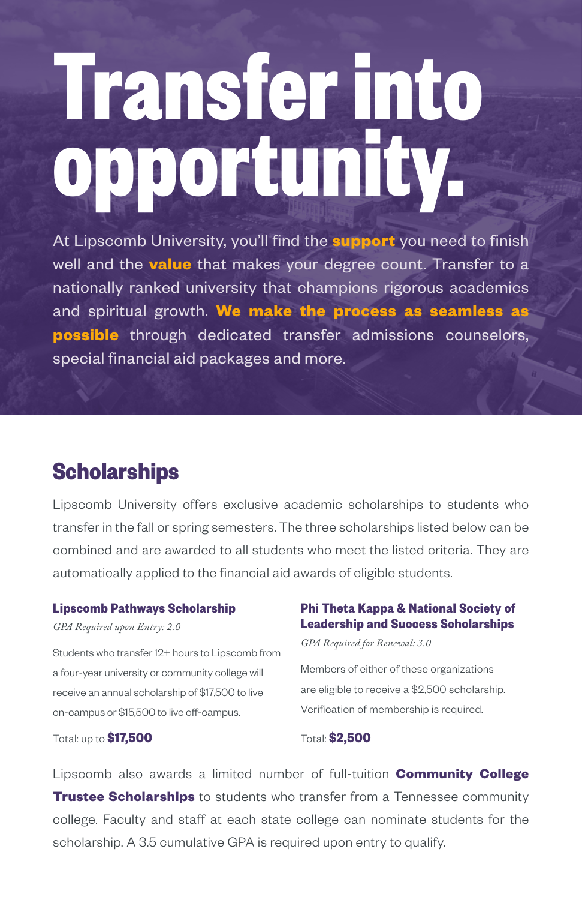# **Transfer into opportunity.**

At Lipscomb University, you'll find the **support** you need to finish well and the **value** that makes your degree count. Transfer to a nationally ranked university that champions rigorous academics and spiritual growth. **We make the process as seamless as possible** through dedicated transfer admissions counselors, special financial aid packages and more.

### **Scholarships**

Lipscomb University offers exclusive academic scholarships to students who transfer in the fall or spring semesters. The three scholarships listed below can be combined and are awarded to all students who meet the listed criteria. They are automatically applied to the financial aid awards of eligible students.

#### **Lipscomb Pathways Scholarship**

*GPA Required upon Entry: 2.0*

Students who transfer 12+ hours to Lipscomb from a four-year university or community college will receive an annual scholarship of \$17,500 to live on-campus or \$15,500 to live off-campus.

#### Total: up to **\$17,500**

#### **Phi Theta Kappa & National Society of Leadership and Success Scholarships**

*GPA Required for Renewal: 3.0* 

Members of either of these organizations are eligible to receive a \$2,500 scholarship. Verification of membership is required.

Total: **\$2,500**

Lipscomb also awards a limited number of full-tuition **Community College Trustee Scholarships** to students who transfer from a Tennessee community college. Faculty and staff at each state college can nominate students for the scholarship. A 3.5 cumulative GPA is required upon entry to qualify.